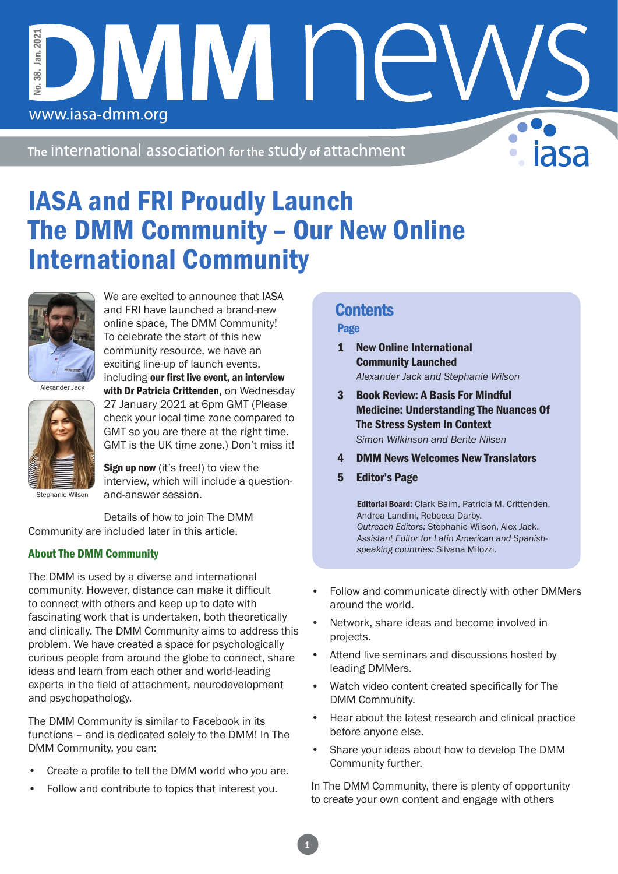The international association for the study of attachment

IVIM N

# IASA and FRI Proudly Launch The DMM Community – Our New Online International Community



No. 38. Jan. 2021

38. Jo.

www.iasa-dmm.org

Jan. 202

We are excited to announce that IASA and FRI have launched a brand-new online space, The DMM Community! To celebrate the start of this new community resource, we have an exciting line-up of launch events, including our first live event, an interview with Dr Patricia Crittenden, on Wednesday

Alexander Jack



27 January 2021 at 6pm GMT (Please check your local time zone compared to GMT so you are there at the right time. GMT is the UK time zone.) Don't miss it!

Sign up now (it's free!) to view the interview, which will include a questionand-answer session.

Details of how to join The DMM Community are included later in this article.

#### About The DMM Community

The DMM is used by a diverse and international community. However, distance can make it difficult to connect with others and keep up to date with fascinating work that is undertaken, both theoretically and clinically. The DMM Community aims to address this problem. We have created a space for psychologically curious people from around the globe to connect, share ideas and learn from each other and world-leading experts in the field of attachment, neurodevelopment and psychopathology.

The DMM Community is similar to Facebook in its functions – and is dedicated solely to the DMM! In The DMM Community, you can:

- Create a profile to tell the DMM world who you are.
- Follow and contribute to topics that interest you.

### **Contents**

#### Page

- 1 New Online International Community Launched *Alexander Jack and Stephanie Wilson*
- 3 Book Review: A Basis For Mindful Medicine: Understanding The Nuances Of The Stress System In Context *Simon Wilkinson and Bente Nilsen*
- 4 DMM News Welcomes New Translators
- 5 Editor's Page

Editorial Board: Clark Baim, Patricia M. Crittenden, Andrea Landini, Rebecca Darby. *Outreach Editors:* Stephanie Wilson, Alex Jack. *Assistant Editor for Latin American and Spanishspeaking countries:* Silvana Milozzi.

- Follow and communicate directly with other DMMers around the world.
- Network, share ideas and become involved in projects.
- Attend live seminars and discussions hosted by leading DMMers.
- Watch video content created specifically for The DMM Community.
- Hear about the latest research and clinical practice before anyone else.
- Share your ideas about how to develop The DMM Community further.

In The DMM Community, there is plenty of opportunity to create your own content and engage with others

1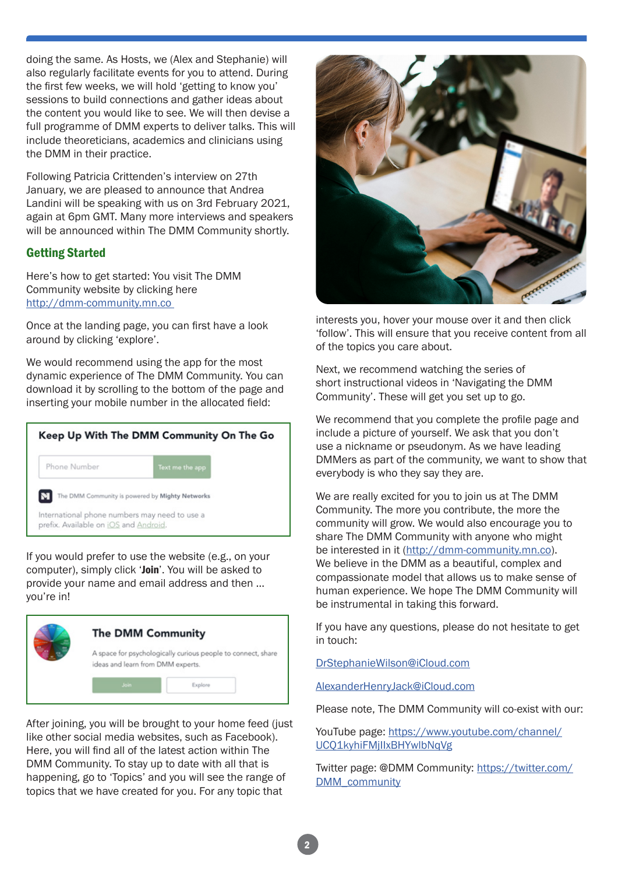doing the same. As Hosts, we (Alex and Stephanie) will also regularly facilitate events for you to attend. During the first few weeks, we will hold 'getting to know you' sessions to build connections and gather ideas about the content you would like to see. We will then devise a full programme of DMM experts to deliver talks. This will include theoreticians, academics and clinicians using the DMM in their practice.

Following Patricia Crittenden's interview on 27th January, we are pleased to announce that Andrea Landini will be speaking with us on 3rd February 2021, again at 6pm GMT. Many more interviews and speakers will be announced within The DMM Community shortly.

#### Getting Started

Here's how to get started: You visit The DMM Community website by clicking here http://dmm-community.mn.co

Once at the landing page, you can first have a look around by clicking 'explore'.

We would recommend using the app for the most dynamic experience of The DMM Community. You can download it by scrolling to the bottom of the page and inserting your mobile number in the allocated field:

| Keep Up With The DMM Community On The Go                                               |                                                 |  |
|----------------------------------------------------------------------------------------|-------------------------------------------------|--|
| Phone Number                                                                           | Text me the app                                 |  |
|                                                                                        | The DMM Community is powered by Mighty Networks |  |
| International phone numbers may need to use a<br>prefix. Available on iOS and Android. |                                                 |  |

If you would prefer to use the website (e.g., on your computer), simply click 'Join'. You will be asked to provide your name and email address and then … you're in!



After joining, you will be brought to your home feed (just like other social media websites, such as Facebook). Here, you will find all of the latest action within The DMM Community. To stay up to date with all that is happening, go to 'Topics' and you will see the range of topics that we have created for you. For any topic that



interests you, hover your mouse over it and then click 'follow'. This will ensure that you receive content from all of the topics you care about.

Next, we recommend watching the series of short instructional videos in 'Navigating the DMM Community'. These will get you set up to go.

We recommend that you complete the profile page and include a picture of yourself. We ask that you don't use a nickname or pseudonym. As we have leading DMMers as part of the community, we want to show that everybody is who they say they are.

We are really excited for you to join us at The DMM Community. The more you contribute, the more the community will grow. We would also encourage you to share The DMM Community with anyone who might be interested in it (http://dmm-community.mn.co). We believe in the DMM as a beautiful, complex and compassionate model that allows us to make sense of human experience. We hope The DMM Community will be instrumental in taking this forward.

If you have any questions, please do not hesitate to get in touch:

DrStephanieWilson@iCloud.com

AlexanderHenryJack@iCloud.com

Please note, The DMM Community will co-exist with our:

YouTube page: https://www.youtube.com/channel/ UCQ1kyhiFMjIIxBHYwlbNqVg

[Twitter page: @DMM Community: https://twitter.com/](https://twitter.com/DMM_community) DMM\_community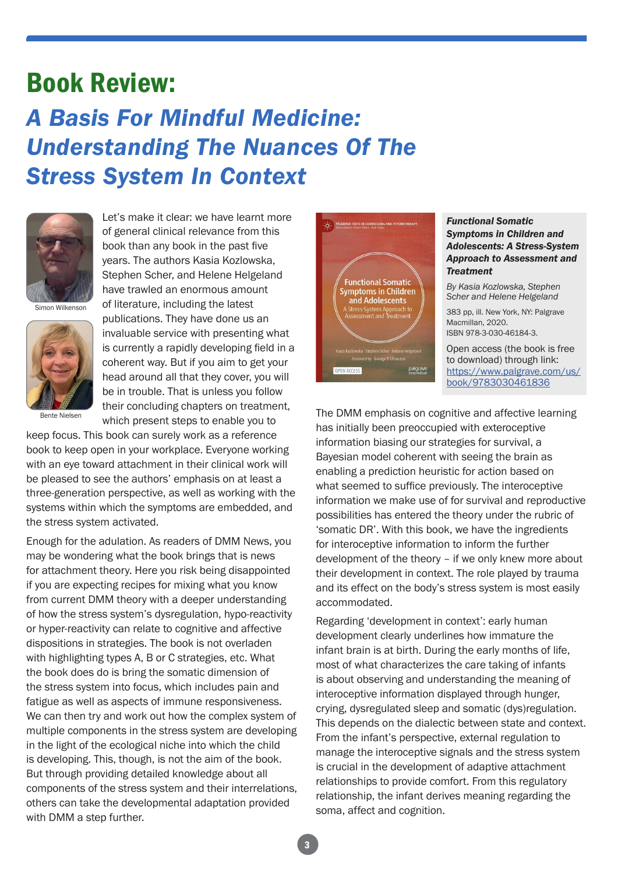### Book Review: *A Basis For Mindful Medicine: Understanding The Nuances Of The Stress System In Context*



Let's make it clear: we have learnt more of general clinical relevance from this book than any book in the past five years. The authors Kasia Kozlowska, Stephen Scher, and Helene Helgeland have trawled an enormous amount of literature, including the latest publications. They have done us an

Simon Wilkenson



Bente Nielsen

invaluable service with presenting what is currently a rapidly developing field in a coherent way. But if you aim to get your head around all that they cover, you will be in trouble. That is unless you follow their concluding chapters on treatment, which present steps to enable you to

keep focus. This book can surely work as a reference book to keep open in your workplace. Everyone working with an eye toward attachment in their clinical work will be pleased to see the authors' emphasis on at least a three-generation perspective, as well as working with the systems within which the symptoms are embedded, and the stress system activated.

Enough for the adulation. As readers of DMM News, you may be wondering what the book brings that is news for attachment theory. Here you risk being disappointed if you are expecting recipes for mixing what you know from current DMM theory with a deeper understanding of how the stress system's dysregulation, hypo-reactivity or hyper-reactivity can relate to cognitive and affective dispositions in strategies. The book is not overladen with highlighting types A, B or C strategies, etc. What the book does do is bring the somatic dimension of the stress system into focus, which includes pain and fatigue as well as aspects of immune responsiveness. We can then try and work out how the complex system of multiple components in the stress system are developing in the light of the ecological niche into which the child is developing. This, though, is not the aim of the book. But through providing detailed knowledge about all components of the stress system and their interrelations, others can take the developmental adaptation provided with DMM a step further.



#### *Functional Somatic Symptoms in Children and Adolescents: A Stress-System Approach to Assessment and Treatment*

*By Kasia Kozlowska, Stephen Scher and Helene Helgeland*

383 pp, ill. New York, NY: Palgrave Macmillan, 2020. ISBN 978-3-030-46184-3.

Open access (the book is free to download) through link: [https://www.palgrave.com/us/](https://www.palgrave.com/us/book/9783030461836) book/9783030461836

The DMM emphasis on cognitive and affective learning has initially been preoccupied with exteroceptive information biasing our strategies for survival, a Bayesian model coherent with seeing the brain as enabling a prediction heuristic for action based on what seemed to suffice previously. The interoceptive information we make use of for survival and reproductive possibilities has entered the theory under the rubric of 'somatic DR'. With this book, we have the ingredients for interoceptive information to inform the further development of the theory – if we only knew more about their development in context. The role played by trauma and its effect on the body's stress system is most easily accommodated.

Regarding 'development in context': early human development clearly underlines how immature the infant brain is at birth. During the early months of life, most of what characterizes the care taking of infants is about observing and understanding the meaning of interoceptive information displayed through hunger, crying, dysregulated sleep and somatic (dys)regulation. This depends on the dialectic between state and context. From the infant's perspective, external regulation to manage the interoceptive signals and the stress system is crucial in the development of adaptive attachment relationships to provide comfort. From this regulatory relationship, the infant derives meaning regarding the soma, affect and cognition.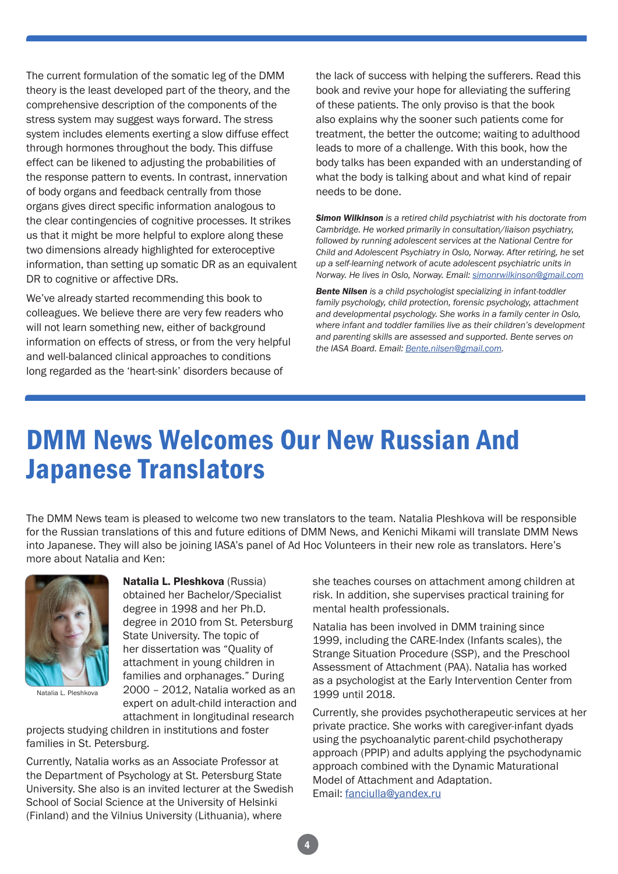The current formulation of the somatic leg of the DMM theory is the least developed part of the theory, and the comprehensive description of the components of the stress system may suggest ways forward. The stress system includes elements exerting a slow diffuse effect through hormones throughout the body. This diffuse effect can be likened to adjusting the probabilities of the response pattern to events. In contrast, innervation of body organs and feedback centrally from those organs gives direct specific information analogous to the clear contingencies of cognitive processes. It strikes us that it might be more helpful to explore along these two dimensions already highlighted for exteroceptive information, than setting up somatic DR as an equivalent DR to cognitive or affective DRs.

We've already started recommending this book to colleagues. We believe there are very few readers who will not learn something new, either of background information on effects of stress, or from the very helpful and well-balanced clinical approaches to conditions long regarded as the 'heart-sink' disorders because of

the lack of success with helping the sufferers. Read this book and revive your hope for alleviating the suffering of these patients. The only proviso is that the book also explains why the sooner such patients come for treatment, the better the outcome; waiting to adulthood leads to more of a challenge. With this book, how the body talks has been expanded with an understanding of what the body is talking about and what kind of repair needs to be done.

*Simon Wilkinson is a retired child psychiatrist with his doctorate from Cambridge. He worked primarily in consultation/liaison psychiatry, followed by running adolescent services at the National Centre for Child and Adolescent Psychiatry in Oslo, Norway. After retiring, he set up a self-learning network of acute adolescent psychiatric units in Norway. He lives in Oslo, Norway. Email: simonrwilkinson@gmail.com*

*Bente Nilsen is a child psychologist specializing in infant-toddler family psychology, child protection, forensic psychology, attachment and developmental psychology. She works in a family center in Oslo, where infant and toddler families live as their children's development and parenting skills are assessed and supported. Bente serves on the IASA Board. Email: Bente.nilsen@gmail.com.*

# DMM News Welcomes Our New Russian And Japanese Translators

The DMM News team is pleased to welcome two new translators to the team. Natalia Pleshkova will be responsible for the Russian translations of this and future editions of DMM News, and Kenichi Mikami will translate DMM News into Japanese. They will also be joining IASA's panel of Ad Hoc Volunteers in their new role as translators. Here's more about Natalia and Ken:



Natalia L. Pleshkova

Natalia L. Pleshkova (Russia) obtained her Bachelor/Specialist degree in 1998 and her Ph.D. degree in 2010 from St. Petersburg State University. The topic of her dissertation was "Quality of attachment in young children in families and orphanages." During 2000 – 2012, Natalia worked as an expert on adult-child interaction and attachment in longitudinal research

projects studying children in institutions and foster families in St. Petersburg.

Currently, Natalia works as an Associate Professor at the Department of Psychology at St. Petersburg State University. She also is an invited lecturer at the Swedish School of Social Science at the University of Helsinki (Finland) and the Vilnius University (Lithuania), where

she teaches courses on attachment among children at risk. In addition, she supervises practical training for mental health professionals.

Natalia has been involved in DMM training since 1999, including the CARE-Index (Infants scales), the Strange Situation Procedure (SSP), and the Preschool Assessment of Attachment (PAA). Natalia has worked as a psychologist at the Early Intervention Center from 1999 until 2018.

Currently, she provides psychotherapeutic services at her private practice. She works with caregiver-infant dyads using the psychoanalytic parent-child psychotherapy approach (PPIP) and adults applying the psychodynamic approach combined with the Dynamic Maturational Model of Attachment and Adaptation. Email: fanciulla@yandex.ru